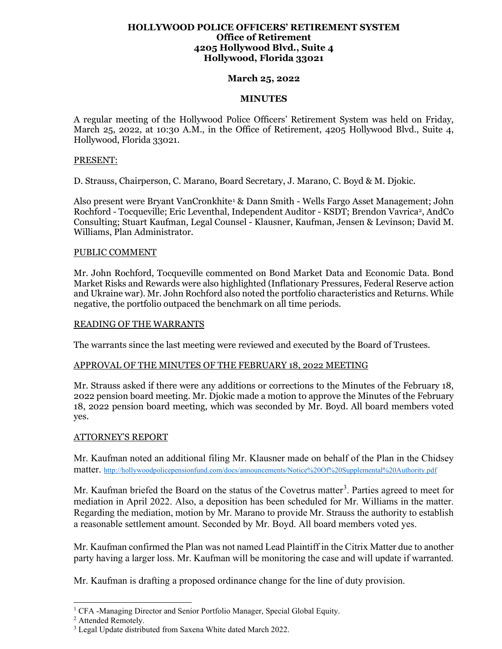## **HOLLYWOOD POLICE OFFICERS' RETIREMENT SYSTEM Office of Retirement 4205 Hollywood Blvd., Suite 4 Hollywood, Florida 33021**

## **March 25, 2022**

## **MINUTES**

A regular meeting of the Hollywood Police Officers' Retirement System was held on Friday, March 25, 2022, at 10:30 A.M., in the Office of Retirement, 4205 Hollywood Blvd., Suite 4, Hollywood, Florida 33021.

## PRESENT:

D. Strauss, Chairperson, C. Marano, Board Secretary, J. Marano, C. Boyd & M. Djokic.

Also present were Bryant VanCronkhite[1](#page-0-0) & Dann Smith - Wells Fargo Asset Management; John Rochford - Tocqueville; Eric Leventhal, Independent Auditor - KSDT; Brendon Vavrica[2,](#page-0-1) AndCo Consulting; Stuart Kaufman, Legal Counsel - Klausner, Kaufman, Jensen & Levinson; David M. Williams, Plan Administrator.

## PUBLIC COMMENT

Mr. John Rochford, Tocqueville commented on Bond Market Data and Economic Data. Bond Market Risks and Rewards were also highlighted (Inflationary Pressures, Federal Reserve action and Ukraine war). Mr. John Rochford also noted the portfolio characteristics and Returns. While negative, the portfolio outpaced the benchmark on all time periods.

## READING OF THE WARRANTS

The warrants since the last meeting were reviewed and executed by the Board of Trustees.

## APPROVAL OF THE MINUTES OF THE FEBRUARY 18, 2022 MEETING

Mr. Strauss asked if there were any additions or corrections to the Minutes of the February 18, 2022 pension board meeting. Mr. Djokic made a motion to approve the Minutes of the February 18, 2022 pension board meeting, which was seconded by Mr. Boyd. All board members voted yes.

## ATTORNEY'S REPORT

Mr. Kaufman noted an additional filing Mr. Klausner made on behalf of the Plan in the Chidsey matter.<http://hollywoodpolicepensionfund.com/docs/announcements/Notice%20Of%20Supplemental%20Authority.pdf>

Mr. Kaufman briefed the Board on the status of the Covetrus matter<sup>[3](#page-0-2)</sup>. Parties agreed to meet for mediation in April 2022. Also, a deposition has been scheduled for Mr. Williams in the matter. Regarding the mediation, motion by Mr. Marano to provide Mr. Strauss the authority to establish a reasonable settlement amount. Seconded by Mr. Boyd. All board members voted yes.

Mr. Kaufman confirmed the Plan was not named Lead Plaintiff in the Citrix Matter due to another party having a larger loss. Mr. Kaufman will be monitoring the case and will update if warranted.

Mr. Kaufman is drafting a proposed ordinance change for the line of duty provision.

<span id="page-0-1"></span><span id="page-0-0"></span><sup>&</sup>lt;sup>1</sup> CFA -Managing Director and Senior Portfolio Manager, Special Global Equity.<br><sup>2</sup> Attended Remotely.

<span id="page-0-2"></span><sup>&</sup>lt;sup>3</sup> Legal Update distributed from Saxena White dated March 2022.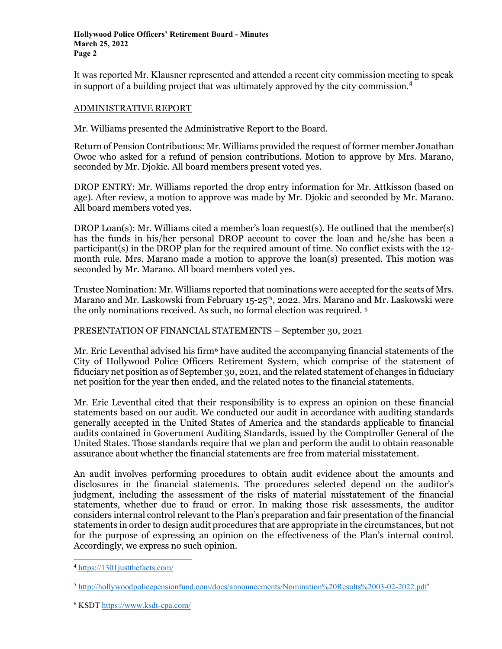It was reported Mr. Klausner represented and attended a recent city commission meeting to speak in support of a building project that was ultimately approved by the city commission.<sup>[4](#page-1-0)</sup>

## ADMINISTRATIVE REPORT

Mr. Williams presented the Administrative Report to the Board.

Return of Pension Contributions: Mr. Williams provided the request of former member Jonathan Owoc who asked for a refund of pension contributions. Motion to approve by Mrs. Marano, seconded by Mr. Djokic. All board members present voted yes.

DROP ENTRY: Mr. Williams reported the drop entry information for Mr. Attkisson (based on age). After review, a motion to approve was made by Mr. Djokic and seconded by Mr. Marano. All board members voted yes.

DROP Loan(s): Mr. Williams cited a member's loan request(s). He outlined that the member(s) has the funds in his/her personal DROP account to cover the loan and he/she has been a participant(s) in the DROP plan for the required amount of time. No conflict exists with the 12 month rule. Mrs. Marano made a motion to approve the loan(s) presented. This motion was seconded by Mr. Marano. All board members voted yes.

Trustee Nomination: Mr. Williams reported that nominations were accepted for the seats of Mrs. Marano and Mr. Laskowski from February 15-25<sup>th</sup>, 2022. Mrs. Marano and Mr. Laskowski were the only nominations received. As such, no formal election was required. [5](#page-1-1) 

PRESENTATION OF FINANCIAL STATEMENTS – September 30, 2021

Mr. Eric Leventhal advised his firm<sup>[6](#page-1-2)</sup> have audited the accompanying financial statements of the City of Hollywood Police Officers Retirement System, which comprise of the statement of fiduciary net position as of September 30, 2021, and the related statement of changes in fiduciary net position for the year then ended, and the related notes to the financial statements.

Mr. Eric Leventhal cited that their responsibility is to express an opinion on these financial statements based on our audit. We conducted our audit in accordance with auditing standards generally accepted in the United States of America and the standards applicable to financial audits contained in Government Auditing Standards, issued by the Comptroller General of the United States. Those standards require that we plan and perform the audit to obtain reasonable assurance about whether the financial statements are free from material misstatement.

An audit involves performing procedures to obtain audit evidence about the amounts and disclosures in the financial statements. The procedures selected depend on the auditor's judgment, including the assessment of the risks of material misstatement of the financial statements, whether due to fraud or error. In making those risk assessments, the auditor considers internal control relevant to the Plan's preparation and fair presentation of the financial statements in order to design audit procedures that are appropriate in the circumstances, but not for the purpose of expressing an opinion on the effectiveness of the Plan's internal control. Accordingly, we express no such opinion.

<span id="page-1-0"></span><sup>4</sup> <https://1301justthefacts.com/>

<span id="page-1-1"></span><sup>5</sup> [http://hollywoodpolicepensionfund.com/docs/announcements/Nomination%20Results%2003-02-2022.pdf'](http://hollywoodpolicepensionfund.com/docs/announcements/Nomination%20Results%2003-02-2022.pdf)

<span id="page-1-2"></span><sup>6</sup> KSDT <https://www.ksdt-cpa.com/>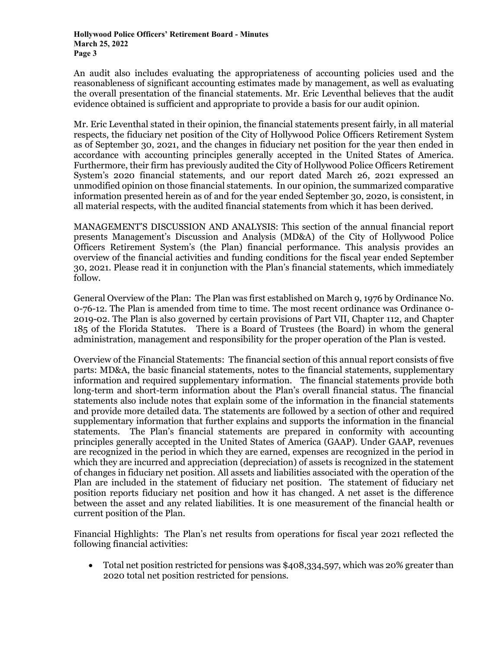An audit also includes evaluating the appropriateness of accounting policies used and the reasonableness of significant accounting estimates made by management, as well as evaluating the overall presentation of the financial statements. Mr. Eric Leventhal believes that the audit evidence obtained is sufficient and appropriate to provide a basis for our audit opinion.

Mr. Eric Leventhal stated in their opinion, the financial statements present fairly, in all material respects, the fiduciary net position of the City of Hollywood Police Officers Retirement System as of September 30, 2021, and the changes in fiduciary net position for the year then ended in accordance with accounting principles generally accepted in the United States of America. Furthermore, their firm has previously audited the City of Hollywood Police Officers Retirement System's 2020 financial statements, and our report dated March 26, 2021 expressed an unmodified opinion on those financial statements. In our opinion, the summarized comparative information presented herein as of and for the year ended September 30, 2020, is consistent, in all material respects, with the audited financial statements from which it has been derived.

MANAGEMENT'S DISCUSSION AND ANALYSIS: This section of the annual financial report presents Management's Discussion and Analysis (MD&A) of the City of Hollywood Police Officers Retirement System's (the Plan) financial performance. This analysis provides an overview of the financial activities and funding conditions for the fiscal year ended September 30, 2021. Please read it in conjunction with the Plan's financial statements, which immediately follow.

General Overview of the Plan: The Plan was first established on March 9, 1976 by Ordinance No. 0-76-12. The Plan is amended from time to time. The most recent ordinance was Ordinance 0- 2019-02. The Plan is also governed by certain provisions of Part VII, Chapter 112, and Chapter 185 of the Florida Statutes. There is a Board of Trustees (the Board) in whom the general administration, management and responsibility for the proper operation of the Plan is vested.

Overview of the Financial Statements: The financial section of this annual report consists of five parts: MD&A, the basic financial statements, notes to the financial statements, supplementary information and required supplementary information. The financial statements provide both long-term and short-term information about the Plan's overall financial status. The financial statements also include notes that explain some of the information in the financial statements and provide more detailed data. The statements are followed by a section of other and required supplementary information that further explains and supports the information in the financial statements. The Plan's financial statements are prepared in conformity with accounting principles generally accepted in the United States of America (GAAP). Under GAAP, revenues are recognized in the period in which they are earned, expenses are recognized in the period in which they are incurred and appreciation (depreciation) of assets is recognized in the statement of changes in fiduciary net position. All assets and liabilities associated with the operation of the Plan are included in the statement of fiduciary net position. The statement of fiduciary net position reports fiduciary net position and how it has changed. A net asset is the difference between the asset and any related liabilities. It is one measurement of the financial health or current position of the Plan.

Financial Highlights: The Plan's net results from operations for fiscal year 2021 reflected the following financial activities:

• Total net position restricted for pensions was \$408,334,597, which was 20% greater than 2020 total net position restricted for pensions.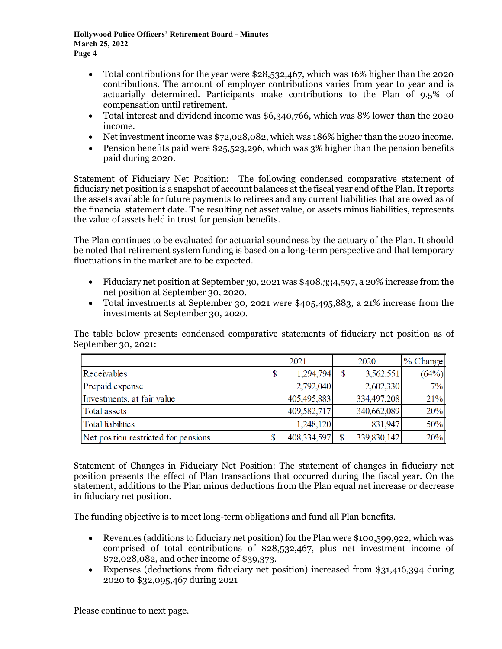**Hollywood Police Officers' Retirement Board - Minutes March 25, 2022 Page 4**

- Total contributions for the year were \$28,532,467, which was 16% higher than the 2020 contributions. The amount of employer contributions varies from year to year and is actuarially determined. Participants make contributions to the Plan of 9.5% of compensation until retirement.
- Total interest and dividend income was \$6,340,766, which was 8% lower than the 2020 income.
- Net investment income was \$72,028,082, which was 186% higher than the 2020 income.
- Pension benefits paid were \$25,523,296, which was 3% higher than the pension benefits paid during 2020.

Statement of Fiduciary Net Position: The following condensed comparative statement of fiduciary net position is a snapshot of account balances at the fiscal year end of the Plan. It reports the assets available for future payments to retirees and any current liabilities that are owed as of the financial statement date. The resulting net asset value, or assets minus liabilities, represents the value of assets held in trust for pension benefits.

The Plan continues to be evaluated for actuarial soundness by the actuary of the Plan. It should be noted that retirement system funding is based on a long-term perspective and that temporary fluctuations in the market are to be expected.

- Fiduciary net position at September 30, 2021 was \$408,334,597, a 20% increase from the net position at September 30, 2020.
- Total investments at September 30, 2021 were \$405,495,883, a 21% increase from the investments at September 30, 2020.

The table below presents condensed comparative statements of fiduciary net position as of September 30, 2021:

|                                      |   | 2021        | 2020        | $\frac{9}{6}$ Change |
|--------------------------------------|---|-------------|-------------|----------------------|
| Receivables                          | S | 1,294,794   | 3,562,551   | (64%)                |
| Prepaid expense                      |   | 2,792,040   | 2,602,330   | $7\%$                |
| Investments, at fair value           |   | 405,495,883 | 334,497,208 | 21%                  |
| Total assets                         |   | 409,582,717 | 340,662,089 | 20%                  |
| Total liabilities                    |   | 1,248,120   | 831,947     | 50%                  |
| Net position restricted for pensions |   | 408,334,597 | 339,830,142 | 20%                  |

Statement of Changes in Fiduciary Net Position: The statement of changes in fiduciary net position presents the effect of Plan transactions that occurred during the fiscal year. On the statement, additions to the Plan minus deductions from the Plan equal net increase or decrease in fiduciary net position.

The funding objective is to meet long-term obligations and fund all Plan benefits.

- Revenues (additions to fiduciary net position) for the Plan were \$100,599,922, which was comprised of total contributions of \$28,532,467, plus net investment income of \$72,028,082, and other income of \$39,373.
- Expenses (deductions from fiduciary net position) increased from \$31,416,394 during 2020 to \$32,095,467 during 2021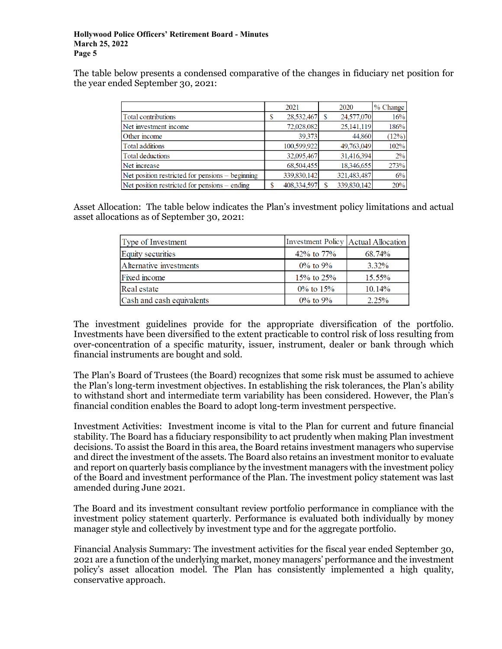The table below presents a condensed comparative of the changes in fiduciary net position for the year ended September 30, 2021:

|                                                  | 2021            |        | 2020        | % Change |
|--------------------------------------------------|-----------------|--------|-------------|----------|
| Total contributions                              | 28,532,467<br>S |        | 24,577,070  | 16%      |
| Net investment income                            | 72,028,082      |        | 25,141,119  | 186%     |
| Other income                                     |                 | 39.373 | 44,860      | (12%)    |
| Total additions                                  | 100.599.922     |        | 49,763,049  | 102%     |
| Total deductions                                 | 32,095,467      |        | 31.416.394  | 2%       |
| Net increase                                     | 68,504,455      |        | 18,346,655  | 273%     |
| Net position restricted for pensions – beginning | 339,830,142     |        | 321,483,487 | 6%       |
| Net position restricted for pensions – ending    | 408,334,597     |        | 339,830,142 | 20%      |

Asset Allocation: The table below indicates the Plan's investment policy limitations and actual asset allocations as of September 30, 2021:

| Type of Investment        |                  | Investment Policy   Actual Allocation |
|---------------------------|------------------|---------------------------------------|
| <b>Equity</b> securities  | 42\% to $77\%$   | 68.74%                                |
| Alternative investments   | $0\%$ to $9\%$   | 3.32%                                 |
| Fixed income              | $15\%$ to $25\%$ | $15.55\%$                             |
| Real estate               | $0\%$ to 15%     | $10.14\%$                             |
| Cash and cash equivalents | $0\%$ to $9\%$   | $2.25\%$                              |

The investment guidelines provide for the appropriate diversification of the portfolio. Investments have been diversified to the extent practicable to control risk of loss resulting from over-concentration of a specific maturity, issuer, instrument, dealer or bank through which financial instruments are bought and sold.

The Plan's Board of Trustees (the Board) recognizes that some risk must be assumed to achieve the Plan's long-term investment objectives. In establishing the risk tolerances, the Plan's ability to withstand short and intermediate term variability has been considered. However, the Plan's financial condition enables the Board to adopt long-term investment perspective.

Investment Activities: Investment income is vital to the Plan for current and future financial stability. The Board has a fiduciary responsibility to act prudently when making Plan investment decisions. To assist the Board in this area, the Board retains investment managers who supervise and direct the investment of the assets. The Board also retains an investment monitor to evaluate and report on quarterly basis compliance by the investment managers with the investment policy of the Board and investment performance of the Plan. The investment policy statement was last amended during June 2021.

The Board and its investment consultant review portfolio performance in compliance with the investment policy statement quarterly. Performance is evaluated both individually by money manager style and collectively by investment type and for the aggregate portfolio.

Financial Analysis Summary: The investment activities for the fiscal year ended September 30, 2021 are a function of the underlying market, money managers' performance and the investment policy's asset allocation model. The Plan has consistently implemented a high quality, conservative approach.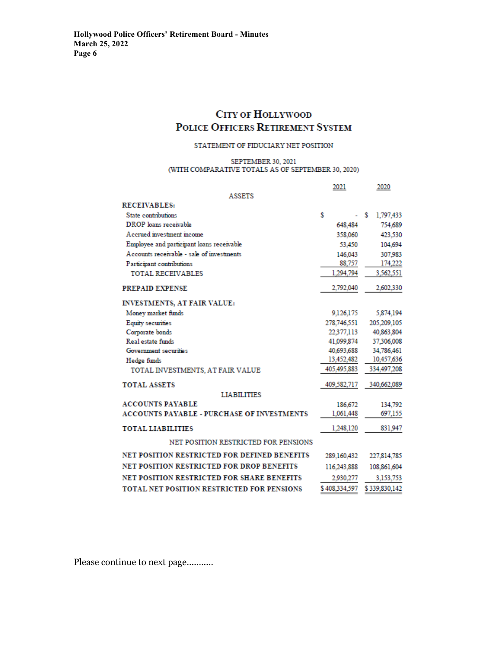# **CITY OF HOLLYWOOD** POLICE OFFICERS RETIREMENT SYSTEM

#### STATEMENT OF FIDUCIARY NET POSITION

#### SEPTEMBER 30, 2021 (WITH COMPARATIVE TOTALS AS OF SEPTEMBER 30, 2020)

|                                                   | 2021          | 2020           |
|---------------------------------------------------|---------------|----------------|
| <b>ASSETS</b>                                     |               |                |
| <b>RECEIVABLES:</b>                               |               |                |
| State contributions                               | Ŝ             | s<br>1,797,433 |
| DROP loans receivable                             | 648.484       | 754,689        |
| A cerued investment income                        | 358,060       | 423.530        |
| Employee and participant loans receivable         | 53,450        | 104.694        |
| Accounts receivable - sale of investments         | 146,043       | 307.983        |
| Participant contributions                         | 88,757        | 174,222        |
| <b>TOTAL RECEIVABLES</b>                          | 1,294,794     | 3,562,551      |
| <b>PREPAID EXPENSE</b>                            | 2.792,040     | 2,602,330      |
| <b>INVESTMENTS, AT FAIR VALUE:</b>                |               |                |
| Money market funds                                | 9.126.175     | 5,874,194      |
| <b>Equity securities</b>                          | 278,746,551   | 205,209,105    |
| Corporate bonds                                   | 22.377.113    | 40.863.804     |
| Real estate funds                                 | 41.099.874    | 37,306,008     |
| Government securities                             | 40.693.688    | 34,786,461     |
| Hedge funds                                       | 13,452,482    | 10,457,636     |
| TOTAL INVESTMENTS, AT FAIR VALUE                  | 405,495,883   | 334,497,208    |
| <b>TOTAL ASSETS</b>                               | 409,582,717   | 340,662,089    |
| LIABILITIES                                       |               |                |
| <b>ACCOUNTS PAYABLE</b>                           | 186,672       | 134.792        |
| <b>ACCOUNTS PAYABLE - PURCHASE OF INVESTMENTS</b> | 1,061,448     | 697,155        |
| <b>TOTAL LIABILITIES</b>                          | 1.248.120     | 831.947        |
| NET POSITION RESTRICTED FOR PENSIONS              |               |                |
| NET POSITION RESTRICTED FOR DEFINED BENEFITS      | 289,160,432   | 227,814,785    |
| <b>NET POSITION RESTRICTED FOR DROP BENEFITS</b>  | 116,243,888   | 108,861,604    |
| <b>NET POSITION RESTRICTED FOR SHARE BENEFITS</b> | 2,930,277     | 3,153,753      |
| <b>TOTAL NET POSITION RESTRICTED FOR PENSIONS</b> | \$408,334,597 | \$339,830,142  |

Please continue to next page………..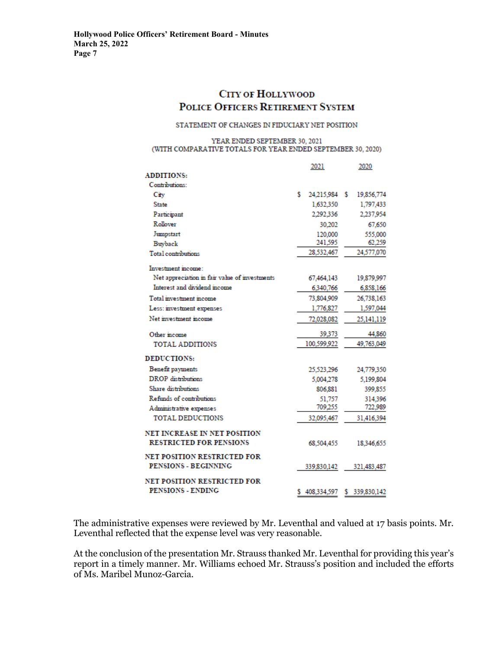## **CITY OF HOLLYWOOD** POLICE OFFICERS RETIREMENT SYSTEM

#### STATEMENT OF CHANGES IN FIDUCIARY NET POSITION

#### YEAR ENDED SEPTEMBER 30, 2021 (WITH COMPARATIVE TOTALS FOR YEAR ENDED SEPTEMBER 30, 2020)

|                                               | 2021       |               |            | 2020           |  |  |
|-----------------------------------------------|------------|---------------|------------|----------------|--|--|
| <b>ADDITIONS:</b>                             |            |               |            |                |  |  |
| Contributions:                                |            |               |            |                |  |  |
| City                                          | s.         | 24,215,984 \$ |            | 19,856,774     |  |  |
| <b>State</b>                                  |            | 1,632,350     |            | 1,797,433      |  |  |
| Participant                                   |            | 2,292,336     |            | 2,237,954      |  |  |
| Rollover                                      |            | 30.202        |            | 67,650         |  |  |
| Jumpstart                                     |            | 120,000       |            | 555,000        |  |  |
| <b>Buyback</b>                                |            | 241,595       |            | 62,259         |  |  |
| <b>Total</b> contributions                    |            | 28,532,467    | 24,577,070 |                |  |  |
| Investment income:                            |            |               |            |                |  |  |
| Net appreciation in fair value of investments |            | 67,464,143    |            | 19,879,997     |  |  |
| Interest and dividend income                  |            | 6340.766      |            | 6.858.166      |  |  |
| Total investment income                       | 73,804.909 |               |            |                |  |  |
| Less: investment expenses                     | 1,776,827  |               |            |                |  |  |
| Net investment income                         | 72.028.082 |               |            | 25.141.119     |  |  |
| Other income                                  |            | 39.373        |            | 44,860         |  |  |
| <b>TOTAL ADDITIONS</b>                        |            | 100,599,922   |            | 49,763,049     |  |  |
| <b>DEDUCTIONS:</b>                            |            |               |            |                |  |  |
| Benefit payments                              |            | 25.523.296    |            | 24,779,350     |  |  |
| <b>DROP</b> distributions                     |            | 5,004,278     |            | 5,199,804      |  |  |
| Share distributions                           |            | 806.881       |            | 399,855        |  |  |
| Refunds of contributions                      |            | 51.757        |            | 314,396        |  |  |
| Administrative expenses                       |            | 709.255       |            | 722,989        |  |  |
| <b>TOTAL DEDUCTIONS</b>                       |            | 32,095,467    |            | 31,416,394     |  |  |
| NET INCREASE IN NET POSITION                  |            |               |            |                |  |  |
| <b>RESTRICTED FOR PENSIONS</b>                |            | 68,504,455    |            | 18.346,655     |  |  |
| <b>NET POSITION RESTRICTED FOR</b>            |            |               |            |                |  |  |
| PENSIONS - BEGINNING                          |            | 339,830,142   |            | 321,483,487    |  |  |
| <b>NET POSITION RESTRICTED FOR</b>            |            |               |            |                |  |  |
| PENSIONS - ENDING                             |            | \$408,334,597 |            | \$ 339,830,142 |  |  |

The administrative expenses were reviewed by Mr. Leventhal and valued at 17 basis points. Mr. Leventhal reflected that the expense level was very reasonable.

At the conclusion of the presentation Mr. Strauss thanked Mr. Leventhal for providing this year's report in a timely manner. Mr. Williams echoed Mr. Strauss's position and included the efforts of Ms. Maribel Munoz-Garcia.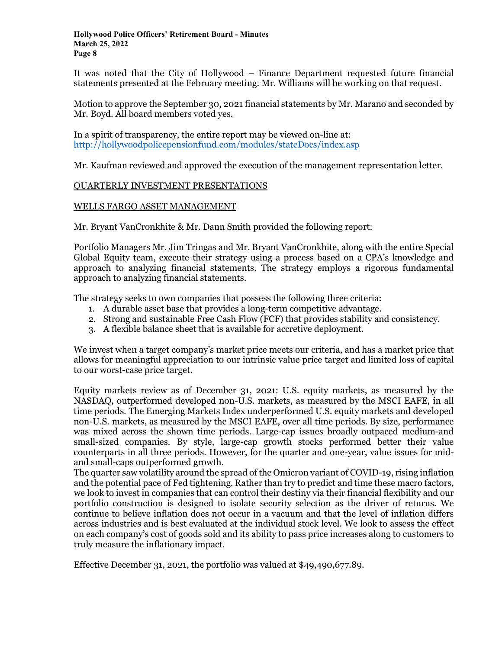It was noted that the City of Hollywood – Finance Department requested future financial statements presented at the February meeting. Mr. Williams will be working on that request.

Motion to approve the September 30, 2021 financial statements by Mr. Marano and seconded by Mr. Boyd. All board members voted yes.

In a spirit of transparency, the entire report may be viewed on-line at: <http://hollywoodpolicepensionfund.com/modules/stateDocs/index.asp>

Mr. Kaufman reviewed and approved the execution of the management representation letter.

## QUARTERLY INVESTMENT PRESENTATIONS

## WELLS FARGO ASSET MANAGEMENT

Mr. Bryant VanCronkhite & Mr. Dann Smith provided the following report:

Portfolio Managers Mr. Jim Tringas and Mr. Bryant VanCronkhite, along with the entire Special Global Equity team, execute their strategy using a process based on a CPA's knowledge and approach to analyzing financial statements. The strategy employs a rigorous fundamental approach to analyzing financial statements.

The strategy seeks to own companies that possess the following three criteria:

- 1. A durable asset base that provides a long-term competitive advantage.
- 2. Strong and sustainable Free Cash Flow (FCF) that provides stability and consistency.
- 3. A flexible balance sheet that is available for accretive deployment.

We invest when a target company's market price meets our criteria, and has a market price that allows for meaningful appreciation to our intrinsic value price target and limited loss of capital to our worst-case price target.

Equity markets review as of December 31, 2021: U.S. equity markets, as measured by the NASDAQ, outperformed developed non-U.S. markets, as measured by the MSCI EAFE, in all time periods. The Emerging Markets Index underperformed U.S. equity markets and developed non-U.S. markets, as measured by the MSCI EAFE, over all time periods. By size, performance was mixed across the shown time periods. Large-cap issues broadly outpaced medium-and small-sized companies. By style, large-cap growth stocks performed better their value counterparts in all three periods. However, for the quarter and one-year, value issues for midand small-caps outperformed growth.

The quarter saw volatility around the spread of the Omicron variant of COVID-19, rising inflation and the potential pace of Fed tightening. Rather than try to predict and time these macro factors, we look to invest in companies that can control their destiny via their financial flexibility and our portfolio construction is designed to isolate security selection as the driver of returns. We continue to believe inflation does not occur in a vacuum and that the level of inflation differs across industries and is best evaluated at the individual stock level. We look to assess the effect on each company's cost of goods sold and its ability to pass price increases along to customers to truly measure the inflationary impact.

Effective December 31, 2021, the portfolio was valued at \$49,490,677.89.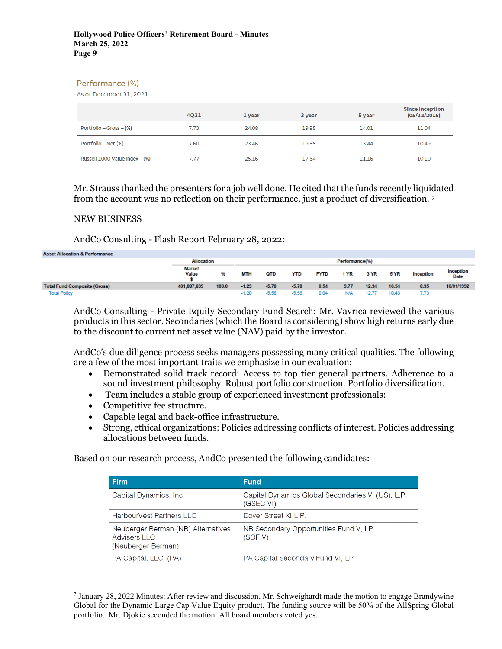## Performance (%)

As of December 31, 2021

|                                  | 4Q21 | 1 year | 3 year | 5 year | <b>Since inception</b><br>(05/12/2015) |
|----------------------------------|------|--------|--------|--------|----------------------------------------|
| Portfolio – Gross – (%)          | 7.73 | 24.08  | 19.95  | 14.01  | 11.04                                  |
| Portfolio – Net (%)              | 7.60 | 23.46  | 19.35  | 13.44  | 10.49                                  |
| Russell 1000 Value Index $-$ (%) | 7.77 | 25.16  | 17.64  | 11.16  | 10.10                                  |

Mr. Strauss thanked the presenters for a job well done. He cited that the funds recently liquidated from the account was no reflection on their performance, just a product of diversification. [7](#page-8-0)

## NEW BUSINESS

AndCo Consulting - Flash Report February 28, 2022:

| <b>Asset Allocation &amp; Performance</b> |                               |       |         |         |            |             |                |       |       |           |                          |
|-------------------------------------------|-------------------------------|-------|---------|---------|------------|-------------|----------------|-------|-------|-----------|--------------------------|
|                                           | <b>Allocation</b>             |       |         |         |            |             | Performance(%) |       |       |           |                          |
|                                           | <b>Market</b><br><b>Value</b> | %     | MTH     | OTD     | <b>YTD</b> | <b>FYTD</b> | 1 YR           | 3 YR  | 5 YR  | Inception | Inception<br><b>Date</b> |
| <b>Total Fund Composite (Gross)</b>       | 401.887.639                   | 100.0 | $-1.23$ | $-5.78$ | $-5.78$    | 0.54        | 9.77           | 12.34 | 10.54 | 8.35      | 10/01/1992               |
| <b>Total Policy</b>                       |                               |       | $-1.20$ | $-5.58$ | $-5.58$    | 0.04        |                | 12.77 | 10.43 | 7.73      |                          |

AndCo Consulting - Private Equity Secondary Fund Search: Mr. Vavrica reviewed the various products in this sector. Secondaries (which the Board is considering) show high returns early due to the discount to current net asset value (NAV) paid by the investor.

AndCo's due diligence process seeks managers possessing many critical qualities. The following are a few of the most important traits we emphasize in our evaluation:

- Demonstrated solid track record: Access to top tier general partners. Adherence to a sound investment philosophy. Robust portfolio construction. Portfolio diversification.
- Team includes a stable group of experienced investment professionals:
- Competitive fee structure.
- Capable legal and back-office infrastructure.
- Strong, ethical organizations: Policies addressing conflicts of interest. Policies addressing allocations between funds.

Based on our research process, AndCo presented the following candidates:

| <b>Firm</b>                                                               | <b>Fund</b>                                                    |
|---------------------------------------------------------------------------|----------------------------------------------------------------|
| Capital Dynamics, Inc.                                                    | Capital Dynamics Global Secondaries VI (US), L.P.<br>(GSEC VI) |
| HarbourVest Partners LLC                                                  | Dover Street XI L P                                            |
| Neuberger Berman (NB) Alternatives<br>Advisers II C<br>(Neuberger Berman) | NB Secondary Opportunities Fund V, LP<br>(SOF V)               |
| PA Capital, LLC (PA)                                                      | PA Capital Secondary Fund VI, LP                               |

<span id="page-8-0"></span><sup>7</sup> January 28, 2022 Minutes: After review and discussion, Mr. Schweighardt made the motion to engage Brandywine Global for the Dynamic Large Cap Value Equity product. The funding source will be 50% of the AllSpring Global portfolio. Mr. Djokic seconded the motion. All board members voted yes.